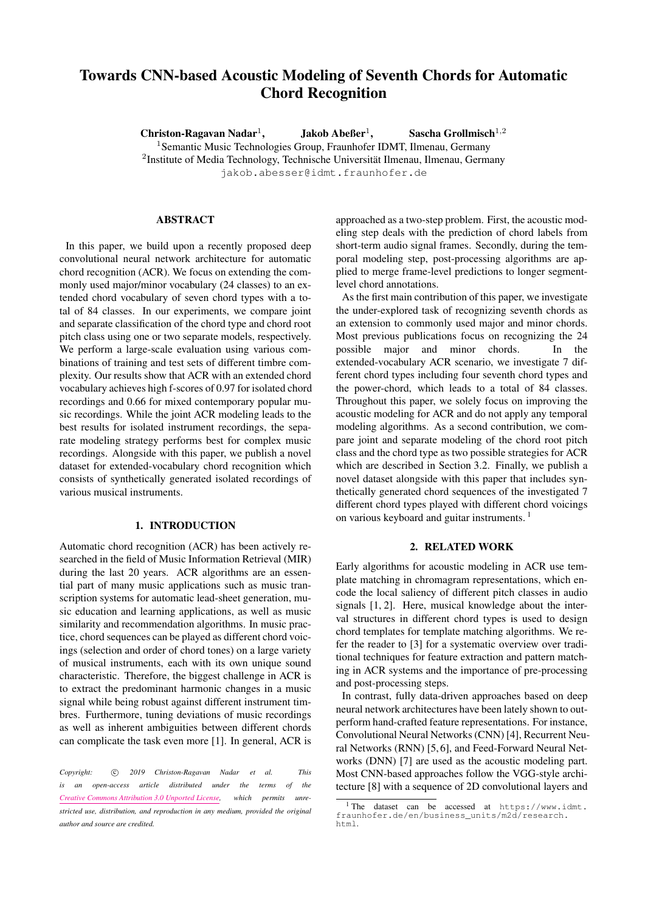# Towards CNN-based Acoustic Modeling of Seventh Chords for Automatic Chord Recognition

Christon-Ragavan Nadar<sup>1</sup>,  $Jakob$  Abeßer<sup>1</sup>, Sascha Grollmisch $^{1,2}$ <sup>1</sup> Semantic Music Technologies Group, Fraunhofer IDMT, Ilmenau, Germany  $2$ Institute of Media Technology, Technische Universität Ilmenau, Ilmenau, Germany [jakob.abesser@idmt.fraunhofer.de](mailto:jakob.abesser@idmt.fraunhofer.de)

# ABSTRACT

In this paper, we build upon a recently proposed deep convolutional neural network architecture for automatic chord recognition (ACR). We focus on extending the commonly used major/minor vocabulary (24 classes) to an extended chord vocabulary of seven chord types with a total of 84 classes. In our experiments, we compare joint and separate classification of the chord type and chord root pitch class using one or two separate models, respectively. We perform a large-scale evaluation using various combinations of training and test sets of different timbre complexity. Our results show that ACR with an extended chord vocabulary achieves high f-scores of 0.97 for isolated chord recordings and 0.66 for mixed contemporary popular music recordings. While the joint ACR modeling leads to the best results for isolated instrument recordings, the separate modeling strategy performs best for complex music recordings. Alongside with this paper, we publish a novel dataset for extended-vocabulary chord recognition which consists of synthetically generated isolated recordings of various musical instruments.

## 1. INTRODUCTION

Automatic chord recognition (ACR) has been actively researched in the field of Music Information Retrieval (MIR) during the last 20 years. ACR algorithms are an essential part of many music applications such as music transcription systems for automatic lead-sheet generation, music education and learning applications, as well as music similarity and recommendation algorithms. In music practice, chord sequences can be played as different chord voicings (selection and order of chord tones) on a large variety of musical instruments, each with its own unique sound characteristic. Therefore, the biggest challenge in ACR is to extract the predominant harmonic changes in a music signal while being robust against different instrument timbres. Furthermore, tuning deviations of music recordings as well as inherent ambiguities between different chords can complicate the task even more [\[1\]](#page-5-0). In general, ACR is approached as a two-step problem. First, the acoustic modeling step deals with the prediction of chord labels from short-term audio signal frames. Secondly, during the temporal modeling step, post-processing algorithms are applied to merge frame-level predictions to longer segmentlevel chord annotations.

As the first main contribution of this paper, we investigate the under-explored task of recognizing seventh chords as an extension to commonly used major and minor chords. Most previous publications focus on recognizing the 24 possible major and minor chords. In the extended-vocabulary ACR scenario, we investigate 7 different chord types including four seventh chord types and the power-chord, which leads to a total of 84 classes. Throughout this paper, we solely focus on improving the acoustic modeling for ACR and do not apply any temporal modeling algorithms. As a second contribution, we compare joint and separate modeling of the chord root pitch class and the chord type as two possible strategies for ACR which are described in Section [3.2.](#page-1-0) Finally, we publish a novel dataset alongside with this paper that includes synthetically generated chord sequences of the investigated 7 different chord types played with different chord voicings on various keyboard and guitar instruments. [1](#page-0-0)

#### 2. RELATED WORK

Early algorithms for acoustic modeling in ACR use template matching in chromagram representations, which encode the local saliency of different pitch classes in audio signals [\[1,](#page-5-0) [2\]](#page-5-1). Here, musical knowledge about the interval structures in different chord types is used to design chord templates for template matching algorithms. We refer the reader to [\[3\]](#page-5-2) for a systematic overview over traditional techniques for feature extraction and pattern matching in ACR systems and the importance of pre-processing and post-processing steps.

In contrast, fully data-driven approaches based on deep neural network architectures have been lately shown to outperform hand-crafted feature representations. For instance, Convolutional Neural Networks (CNN) [\[4\]](#page-5-3), Recurrent Neural Networks (RNN) [\[5,](#page-5-4) [6\]](#page-5-5), and Feed-Forward Neural Networks (DNN) [\[7\]](#page-5-6) are used as the acoustic modeling part. Most CNN-based approaches follow the VGG-style architecture [\[8\]](#page-5-7) with a sequence of 2D convolutional layers and

Copyright: 
C 2019 Christon-Ragavan Nadar et al. This *is an open-access article distributed under the terms of the [Creative Commons Attribution 3.0 Unported License,](http://creativecommons.org/licenses/by/3.0/) which permits unrestricted use, distribution, and reproduction in any medium, provided the original author and source are credited.*

<span id="page-0-0"></span><sup>1</sup> The dataset can be accessed at [https://www.idmt.](https://www.idmt.fraunhofer.de/en/business_units/m2d/research.html) [fraunhofer.de/en/business\\_units/m2d/research.](https://www.idmt.fraunhofer.de/en/business_units/m2d/research.html) [html](https://www.idmt.fraunhofer.de/en/business_units/m2d/research.html).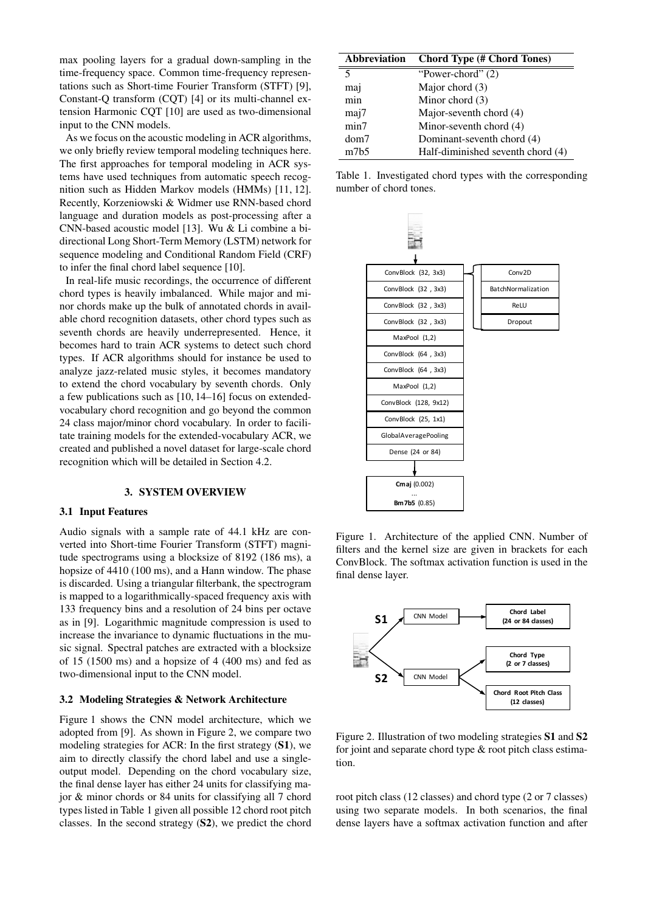max pooling layers for a gradual down-sampling in the time-frequency space. Common time-frequency representations such as Short-time Fourier Transform (STFT) [\[9\]](#page-5-8), Constant-Q transform (CQT) [\[4\]](#page-5-3) or its multi-channel extension Harmonic CQT [\[10\]](#page-5-9) are used as two-dimensional input to the CNN models.

As we focus on the acoustic modeling in ACR algorithms, we only briefly review temporal modeling techniques here. The first approaches for temporal modeling in ACR systems have used techniques from automatic speech recognition such as Hidden Markov models (HMMs) [\[11,](#page-5-10) [12\]](#page-5-11). Recently, Korzeniowski & Widmer use RNN-based chord language and duration models as post-processing after a CNN-based acoustic model [\[13\]](#page-5-12). Wu & Li combine a bidirectional Long Short-Term Memory (LSTM) network for sequence modeling and Conditional Random Field (CRF) to infer the final chord label sequence [\[10\]](#page-5-9).

In real-life music recordings, the occurrence of different chord types is heavily imbalanced. While major and minor chords make up the bulk of annotated chords in available chord recognition datasets, other chord types such as seventh chords are heavily underrepresented. Hence, it becomes hard to train ACR systems to detect such chord types. If ACR algorithms should for instance be used to analyze jazz-related music styles, it becomes mandatory to extend the chord vocabulary by seventh chords. Only a few publications such as [\[10,](#page-5-9) [14](#page-6-0)[–16\]](#page-6-1) focus on extendedvocabulary chord recognition and go beyond the common 24 class major/minor chord vocabulary. In order to facilitate training models for the extended-vocabulary ACR, we created and published a novel dataset for large-scale chord recognition which will be detailed in Section [4.2.](#page-2-0)

## 3. SYSTEM OVERVIEW

#### 3.1 Input Features

Audio signals with a sample rate of 44.1 kHz are converted into Short-time Fourier Transform (STFT) magnitude spectrograms using a blocksize of 8192 (186 ms), a hopsize of  $4410 (100 \text{ ms})$ , and a Hann window. The phase is discarded. Using a triangular filterbank, the spectrogram is mapped to a logarithmically-spaced frequency axis with 133 frequency bins and a resolution of 24 bins per octave as in [\[9\]](#page-5-8). Logarithmic magnitude compression is used to increase the invariance to dynamic fluctuations in the music signal. Spectral patches are extracted with a blocksize of 15 (1500 ms) and a hopsize of 4 (400 ms) and fed as two-dimensional input to the CNN model.

## <span id="page-1-0"></span>3.2 Modeling Strategies & Network Architecture

Figure [1](#page-1-1) shows the CNN model architecture, which we adopted from [\[9\]](#page-5-8). As shown in Figure [2,](#page-1-2) we compare two modeling strategies for ACR: In the first strategy (S1), we aim to directly classify the chord label and use a singleoutput model. Depending on the chord vocabulary size, the final dense layer has either 24 units for classifying major & minor chords or 84 units for classifying all 7 chord types listed in Table [1](#page-1-3) given all possible 12 chord root pitch classes. In the second strategy (S2), we predict the chord

<span id="page-1-3"></span>

| <b>Abbreviation</b> | <b>Chord Type (# Chord Tones)</b> |  |  |
|---------------------|-----------------------------------|--|--|
| 5                   | "Power-chord" $(2)$               |  |  |
| maj                 | Major chord (3)                   |  |  |
| min                 | Minor chord $(3)$                 |  |  |
| maj7                | Major-seventh chord (4)           |  |  |
| min7                | Minor-seventh chord (4)           |  |  |
| dom7                | Dominant-seventh chord (4)        |  |  |
| m7b5                | Half-diminished seventh chord (4) |  |  |

Table 1. Investigated chord types with the corresponding number of chord tones.

<span id="page-1-1"></span>

Figure 1. Architecture of the applied CNN. Number of filters and the kernel size are given in brackets for each ConvBlock. The softmax activation function is used in the final dense layer.

<span id="page-1-2"></span>

Figure 2. Illustration of two modeling strategies S1 and S2 for joint and separate chord type & root pitch class estimation.

root pitch class (12 classes) and chord type (2 or 7 classes) using two separate models. In both scenarios, the final dense layers have a softmax activation function and after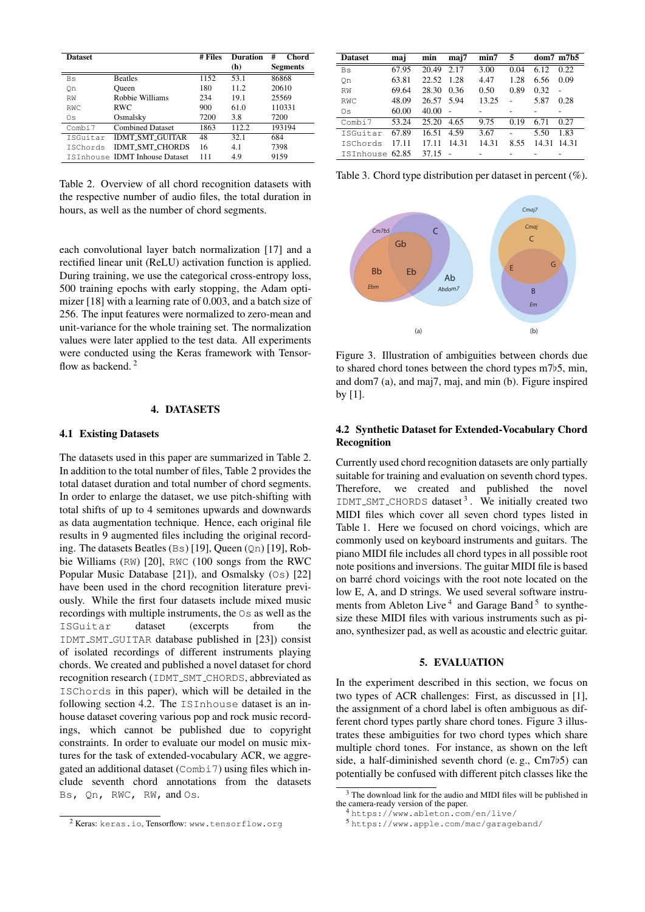<span id="page-2-2"></span>

| <b>Dataset</b> |                                | # Files | <b>Duration</b><br>(h) | #<br>Chord<br><b>Segments</b> |  |
|----------------|--------------------------------|---------|------------------------|-------------------------------|--|
| Bs             | <b>Beatles</b>                 | 1152    | 53.1                   | 86868                         |  |
| Оn             | Oueen                          | 180     | 112                    | 20610                         |  |
| <b>RW</b>      | Robbie Williams                | 234     | 19.1                   | 25569                         |  |
| <b>RWC</b>     | <b>RWC</b>                     | 900     | 61.0                   | 110331                        |  |
| Os             | Osmalsky                       | 7200    | 3.8                    | 7200                          |  |
| Combi7         | <b>Combined Dataset</b>        | 1863    | 112.2                  | 193194                        |  |
| TSGuitar       | <b>IDMT SMT GUITAR</b>         |         | 32.1                   | 684                           |  |
| ISChords       | <b>IDMT SMT CHORDS</b>         | 16      | 4.1                    | 7398                          |  |
|                | ISInhouse IDMT Inhouse Dataset | 111     | 4.9                    | 9159                          |  |

Table 2. Overview of all chord recognition datasets with the respective number of audio files, the total duration in hours, as well as the number of chord segments.

each convolutional layer batch normalization [\[17\]](#page-6-2) and a rectified linear unit (ReLU) activation function is applied. During training, we use the categorical cross-entropy loss, 500 training epochs with early stopping, the Adam optimizer [\[18\]](#page-6-3) with a learning rate of 0.003, and a batch size of 256. The input features were normalized to zero-mean and unit-variance for the whole training set. The normalization values were later applied to the test data. All experiments were conducted using the Keras framework with Tensor-flow as backend.<sup>[2](#page-2-1)</sup>

#### 4. DATASETS

#### <span id="page-2-7"></span>4.1 Existing Datasets

The datasets used in this paper are summarized in Table [2.](#page-2-2) In addition to the total number of files, Table [2](#page-2-2) provides the total dataset duration and total number of chord segments. In order to enlarge the dataset, we use pitch-shifting with total shifts of up to 4 semitones upwards and downwards as data augmentation technique. Hence, each original file results in 9 augmented files including the original recording. The datasets Beatles (Bs) [\[19\]](#page-6-4), Queen (Qn) [\[19\]](#page-6-4), Robbie Williams (RW) [\[20\]](#page-6-5), RWC (100 songs from the RWC Popular Music Database [\[21\]](#page-6-6)), and Osmalsky (Os) [\[22\]](#page-6-7) have been used in the chord recognition literature previously. While the first four datasets include mixed music recordings with multiple instruments, the Os as well as the ISGuitar dataset (excerpts from the IDMT SMT GUITAR database published in [\[23\]](#page-6-8)) consist of isolated recordings of different instruments playing chords. We created and published a novel dataset for chord recognition research (IDMT SMT CHORDS, abbreviated as ISChords in this paper), which will be detailed in the following section [4.2.](#page-2-0) The ISInhouse dataset is an inhouse dataset covering various pop and rock music recordings, which cannot be published due to copyright constraints. In order to evaluate our model on music mixtures for the task of extended-vocabulary ACR, we aggregated an additional dataset (Combi7) using files which include seventh chord annotations from the datasets Bs, Qn, RWC, RW, and Os.

Table 3. Chord type distribution per dataset in percent (%).

<span id="page-2-6"></span>

Figure 3. Illustration of ambiguities between chords due to shared chord tones between the chord types  $m7b5$ , min, and dom7 (a), and maj7, maj, and min (b). Figure inspired by [\[1\]](#page-5-0).

## <span id="page-2-0"></span>4.2 Synthetic Dataset for Extended-Vocabulary Chord Recognition

Currently used chord recognition datasets are only partially suitable for training and evaluation on seventh chord types. Therefore, we created and published the novel IDMT\_SMT\_CHORDS dataset<sup>[3](#page-2-3)</sup>. We initially created two MIDI files which cover all seven chord types listed in Table [1.](#page-1-3) Here we focused on chord voicings, which are commonly used on keyboard instruments and guitars. The piano MIDI file includes all chord types in all possible root note positions and inversions. The guitar MIDI file is based on barre chord voicings with the root note located on the ´ low E, A, and D strings. We used several software instru-ments from Ableton Live<sup>[4](#page-2-4)</sup> and Garage Band<sup>[5](#page-2-5)</sup> to synthesize these MIDI files with various instruments such as piano, synthesizer pad, as well as acoustic and electric guitar.

## 5. EVALUATION

<span id="page-2-8"></span>In the experiment described in this section, we focus on two types of ACR challenges: First, as discussed in [\[1\]](#page-5-0), the assignment of a chord label is often ambiguous as different chord types partly share chord tones. Figure [3](#page-2-6) illustrates these ambiguities for two chord types which share multiple chord tones. For instance, as shown on the left side, a half-diminished seventh chord (e.g.,  $Cm7b5$ ) can potentially be confused with different pitch classes like the

Dataset maj min maj7 min7 5 dom7 m7b5 Bs 67.95 20.49 2.17 3.00 0.04 6.12 0.22 Qn 63.81 22.52 1.28 4.47 1.28 6.56 0.09 RW 69.64 28.30 0.36 0.50 0.89 0.32 - RWC 48.09 26.57 5.94 13.25 - 5.87 0.28 Os 60.00 40.00 - - - - - -Combi7 53.24 25.20 4.65 9.75 0.19 6.71 0.27 ISGuitar 67.89 16.51 4.59 3.67 - 5.50 1.83 ISChords 17.11 17.11 14.31 14.31 8.55 14.31 14.31 ISInhouse 62.85 37.15

<span id="page-2-3"></span><sup>&</sup>lt;sup>3</sup> The download link for the audio and MIDI files will be published in the camera-ready version of the paper.

<sup>4</sup> <https://www.ableton.com/en/live/>

<span id="page-2-5"></span><span id="page-2-4"></span><sup>5</sup> <https://www.apple.com/mac/garageband/>

<span id="page-2-1"></span><sup>&</sup>lt;sup>2</sup> Keras: <keras.io>, Tensorflow: <www.tensorflow.org>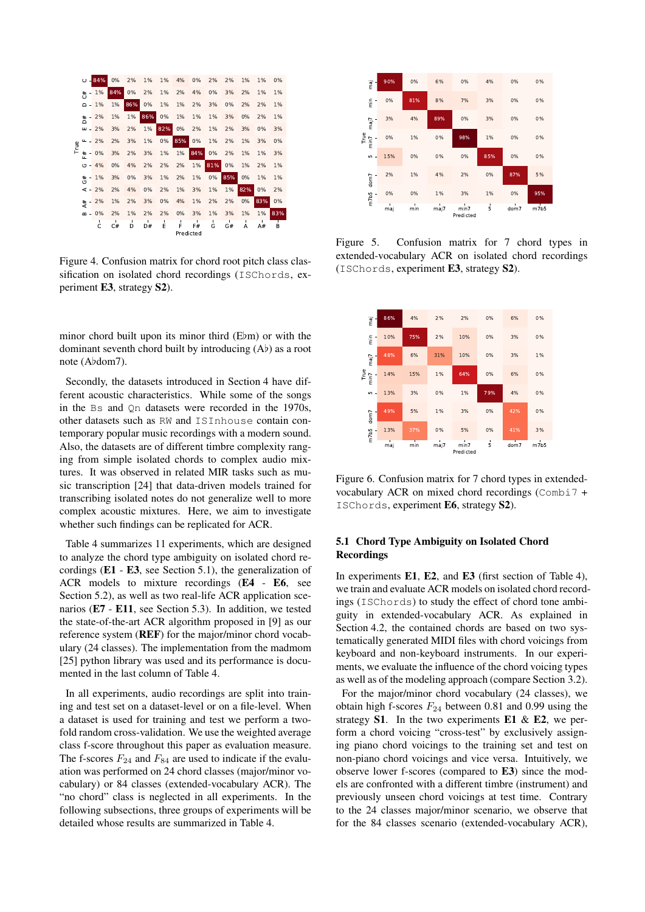<span id="page-3-1"></span>

Figure 4. Confusion matrix for chord root pitch class classification on isolated chord recordings (ISChords, experiment E3, strategy S2).

minor chord built upon its minor third  $(E/m)$  or with the dominant seventh chord built by introducing  $(A<sup>b</sup>)$  as a root note (Abdom7).

Secondly, the datasets introduced in Section [4](#page-2-7) have different acoustic characteristics. While some of the songs in the Bs and Qn datasets were recorded in the 1970s, other datasets such as RW and ISInhouse contain contemporary popular music recordings with a modern sound. Also, the datasets are of different timbre complexity ranging from simple isolated chords to complex audio mixtures. It was observed in related MIR tasks such as music transcription [\[24\]](#page-6-9) that data-driven models trained for transcribing isolated notes do not generalize well to more complex acoustic mixtures. Here, we aim to investigate whether such findings can be replicated for ACR.

Table [4](#page-4-0) summarizes 11 experiments, which are designed to analyze the chord type ambiguity on isolated chord recordings  $(E1 - E3$ , see Section [5.1\)](#page-3-0), the generalization of ACR models to mixture recordings (E4 - E6, see Section [5.2\)](#page-4-1), as well as two real-life ACR application scenarios (E7 - E11, see Section [5.3\)](#page-4-2). In addition, we tested the state-of-the-art ACR algorithm proposed in [\[9\]](#page-5-8) as our reference system (REF) for the major/minor chord vocabulary (24 classes). The implementation from the madmom [\[25\]](#page-6-10) python library was used and its performance is documented in the last column of Table [4.](#page-4-0)

In all experiments, audio recordings are split into training and test set on a dataset-level or on a file-level. When a dataset is used for training and test we perform a twofold random cross-validation. We use the weighted average class f-score throughout this paper as evaluation measure. The f-scores  $F_{24}$  and  $F_{84}$  are used to indicate if the evaluation was performed on 24 chord classes (major/minor vocabulary) or 84 classes (extended-vocabulary ACR). The "no chord" class is neglected in all experiments. In the following subsections, three groups of experiments will be detailed whose results are summarized in Table [4.](#page-4-0)

<span id="page-3-2"></span>

Figure 5. Confusion matrix for 7 chord types in extended-vocabulary ACR on isolated chord recordings (ISChords, experiment E3, strategy S2).

<span id="page-3-3"></span>

Figure 6. Confusion matrix for 7 chord types in extendedvocabulary ACR on mixed chord recordings (Combi7 + ISChords, experiment E6, strategy S2).

# <span id="page-3-0"></span>5.1 Chord Type Ambiguity on Isolated Chord **Recordings**

In experiments E1, E2, and E3 (first section of Table [4\)](#page-4-0), we train and evaluate ACR models on isolated chord recordings (ISChords) to study the effect of chord tone ambiguity in extended-vocabulary ACR. As explained in Section [4.2,](#page-2-0) the contained chords are based on two systematically generated MIDI files with chord voicings from keyboard and non-keyboard instruments. In our experiments, we evaluate the influence of the chord voicing types as well as of the modeling approach (compare Section [3.2\)](#page-1-0).

For the major/minor chord vocabulary (24 classes), we obtain high f-scores  $F_{24}$  between 0.81 and 0.99 using the strategy  $S1$ . In the two experiments  $E1 \& E2$ , we perform a chord voicing "cross-test" by exclusively assigning piano chord voicings to the training set and test on non-piano chord voicings and vice versa. Intuitively, we observe lower f-scores (compared to E3) since the models are confronted with a different timbre (instrument) and previously unseen chord voicings at test time. Contrary to the 24 classes major/minor scenario, we observe that for the 84 classes scenario (extended-vocabulary ACR),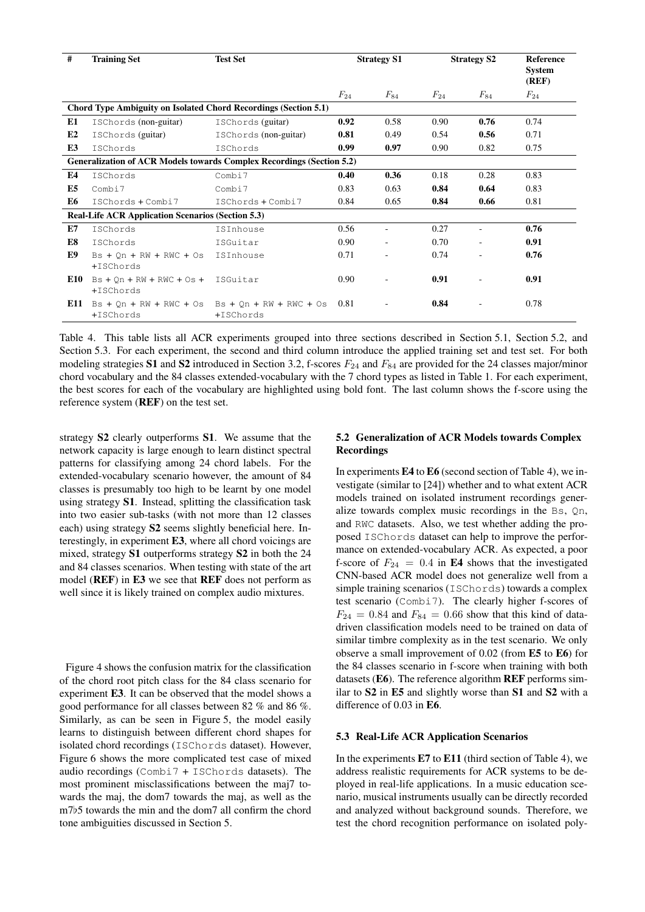| #              | <b>Training Set</b>                                             | <b>Test Set</b>                                                              | <b>Strategy S1</b> |                          | <b>Strategy S2</b> |                          | <b>Reference</b><br><b>System</b><br>(REF) |
|----------------|-----------------------------------------------------------------|------------------------------------------------------------------------------|--------------------|--------------------------|--------------------|--------------------------|--------------------------------------------|
|                |                                                                 |                                                                              | $F_{24}$           | $F_{84}$                 | $F_{24}$           | $F_{84}$                 | $F_{24}$                                   |
|                | Chord Type Ambiguity on Isolated Chord Recordings (Section 5.1) |                                                                              |                    |                          |                    |                          |                                            |
| E1             | ISChords (non-guitar)                                           | ISChords (guitar)                                                            | 0.92               | 0.58                     | 0.90               | 0.76                     | 0.74                                       |
| E2             | ISChords (guitar)                                               | ISChords (non-guitar)                                                        | 0.81               | 0.49                     | 0.54               | 0.56                     | 0.71                                       |
| E3             | ISChords                                                        | ISChords                                                                     | 0.99               | 0.97                     | 0.90               | 0.82                     | 0.75                                       |
|                |                                                                 | <b>Generalization of ACR Models towards Complex Recordings (Section 5.2)</b> |                    |                          |                    |                          |                                            |
| E4             | ISChords                                                        | Combi7                                                                       | 0.40               | 0.36                     | 0.18               | 0.28                     | 0.83                                       |
| E <sub>5</sub> | Combi7                                                          | Combi7                                                                       | 0.83               | 0.63                     | 0.84               | 0.64                     | 0.83                                       |
| E6             | ISChords + Combi7                                               | ISChords + Combi7                                                            | 0.84               | 0.65                     | 0.84               | 0.66                     | 0.81                                       |
|                | <b>Real-Life ACR Application Scenarios (Section 5.3)</b>        |                                                                              |                    |                          |                    |                          |                                            |
| E7             | ISChords                                                        | ISInhouse                                                                    | 0.56               | $\sim$                   | 0.27               | $\overline{\phantom{a}}$ | 0.76                                       |
| E8             | ISChords                                                        | ISGuitar                                                                     | 0.90               | $\overline{\phantom{a}}$ | 0.70               |                          | 0.91                                       |
| E9             | $Bs + On + RW + RWC + Os$<br>+ISChords                          | ISInhouse                                                                    | 0.71               |                          | 0.74               |                          | 0.76                                       |
| E10            | $Bs + Qn + RW + RWC + Os +$<br>+ISChords                        | ISGuitar                                                                     | 0.90               |                          | 0.91               |                          | 0.91                                       |
| E11            | $Bs + Qn + RW + RWC + Os$<br>$+ISChords$                        | $Bs + On + RW + RWC + Os$<br>+ISChords                                       | 0.81               |                          | 0.84               |                          | 0.78                                       |

<span id="page-4-0"></span>Table 4. This table lists all ACR experiments grouped into three sections described in Section [5.1,](#page-3-0) Section [5.2,](#page-4-1) and Section [5.3.](#page-4-2) For each experiment, the second and third column introduce the applied training set and test set. For both modeling strategies S1 and S2 introduced in Section [3.2,](#page-1-0) f-scores  $F_{24}$  and  $F_{84}$  are provided for the 24 classes major/minor chord vocabulary and the 84 classes extended-vocabulary with the 7 chord types as listed in Table [1.](#page-1-3) For each experiment, the best scores for each of the vocabulary are highlighted using bold font. The last column shows the f-score using the reference system (REF) on the test set.

strategy S2 clearly outperforms S1. We assume that the network capacity is large enough to learn distinct spectral patterns for classifying among 24 chord labels. For the extended-vocabulary scenario however, the amount of 84 classes is presumably too high to be learnt by one model using strategy S1. Instead, splitting the classification task into two easier sub-tasks (with not more than 12 classes each) using strategy S2 seems slightly beneficial here. Interestingly, in experiment E3, where all chord voicings are mixed, strategy S1 outperforms strategy S2 in both the 24 and 84 classes scenarios. When testing with state of the art model (REF) in E3 we see that REF does not perform as well since it is likely trained on complex audio mixtures.

Figure [4](#page-3-1) shows the confusion matrix for the classification of the chord root pitch class for the 84 class scenario for experiment E3. It can be observed that the model shows a good performance for all classes between 82 % and 86 %. Similarly, as can be seen in Figure [5,](#page-3-2) the model easily learns to distinguish between different chord shapes for isolated chord recordings (ISChords dataset). However, Figure [6](#page-3-3) shows the more complicated test case of mixed audio recordings (Combi7 + ISChords datasets). The most prominent misclassifications between the maj7 towards the maj, the dom7 towards the maj, as well as the  $m7b5$  towards the min and the dom7 all confirm the chord tone ambiguities discussed in Section [5.](#page-2-8)

# <span id="page-4-1"></span>5.2 Generalization of ACR Models towards Complex Recordings

In experiments E4 to E6 (second section of Table [4\)](#page-4-0), we investigate (similar to [\[24\]](#page-6-9)) whether and to what extent ACR models trained on isolated instrument recordings generalize towards complex music recordings in the Bs, Qn, and RWC datasets. Also, we test whether adding the proposed ISChords dataset can help to improve the performance on extended-vocabulary ACR. As expected, a poor f-score of  $F_{24} = 0.4$  in E4 shows that the investigated CNN-based ACR model does not generalize well from a simple training scenarios (ISChords) towards a complex test scenario (Combi7). The clearly higher f-scores of  $F_{24} = 0.84$  and  $F_{84} = 0.66$  show that this kind of datadriven classification models need to be trained on data of similar timbre complexity as in the test scenario. We only observe a small improvement of 0.02 (from E5 to E6) for the 84 classes scenario in f-score when training with both datasets (E6). The reference algorithm REF performs similar to S2 in E5 and slightly worse than S1 and S2 with a difference of 0.03 in E6.

## <span id="page-4-2"></span>5.3 Real-Life ACR Application Scenarios

In the experiments  $E7$  to  $E11$  (third section of Table [4\)](#page-4-0), we address realistic requirements for ACR systems to be deployed in real-life applications. In a music education scenario, musical instruments usually can be directly recorded and analyzed without background sounds. Therefore, we test the chord recognition performance on isolated poly-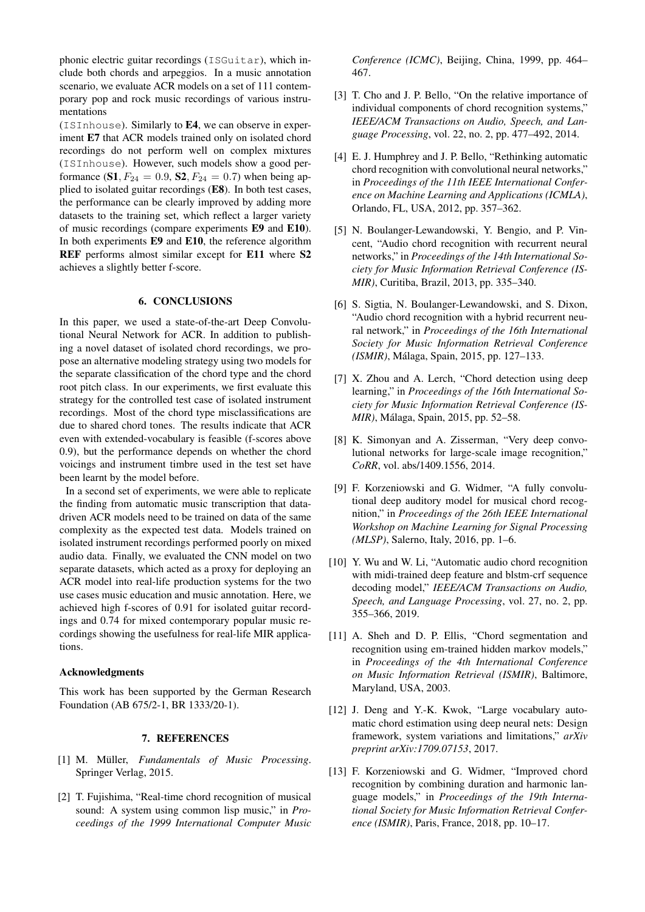phonic electric guitar recordings (ISGuitar), which include both chords and arpeggios. In a music annotation scenario, we evaluate ACR models on a set of 111 contemporary pop and rock music recordings of various instrumentations

(ISInhouse). Similarly to E4, we can observe in experiment E7 that ACR models trained only on isolated chord recordings do not perform well on complex mixtures (ISInhouse). However, such models show a good performance (S1,  $F_{24} = 0.9$ , S2,  $F_{24} = 0.7$ ) when being applied to isolated guitar recordings (E8). In both test cases, the performance can be clearly improved by adding more datasets to the training set, which reflect a larger variety of music recordings (compare experiments E9 and E10). In both experiments E9 and E10, the reference algorithm REF performs almost similar except for E11 where S2 achieves a slightly better f-score.

# 6. CONCLUSIONS

In this paper, we used a state-of-the-art Deep Convolutional Neural Network for ACR. In addition to publishing a novel dataset of isolated chord recordings, we propose an alternative modeling strategy using two models for the separate classification of the chord type and the chord root pitch class. In our experiments, we first evaluate this strategy for the controlled test case of isolated instrument recordings. Most of the chord type misclassifications are due to shared chord tones. The results indicate that ACR even with extended-vocabulary is feasible (f-scores above 0.9), but the performance depends on whether the chord voicings and instrument timbre used in the test set have been learnt by the model before.

In a second set of experiments, we were able to replicate the finding from automatic music transcription that datadriven ACR models need to be trained on data of the same complexity as the expected test data. Models trained on isolated instrument recordings performed poorly on mixed audio data. Finally, we evaluated the CNN model on two separate datasets, which acted as a proxy for deploying an ACR model into real-life production systems for the two use cases music education and music annotation. Here, we achieved high f-scores of 0.91 for isolated guitar recordings and 0.74 for mixed contemporary popular music recordings showing the usefulness for real-life MIR applications.

## Acknowledgments

This work has been supported by the German Research Foundation (AB 675/2-1, BR 1333/20-1).

#### 7. REFERENCES

- <span id="page-5-0"></span>[1] M. Müller, *Fundamentals of Music Processing*. Springer Verlag, 2015.
- <span id="page-5-1"></span>[2] T. Fujishima, "Real-time chord recognition of musical sound: A system using common lisp music," in *Proceedings of the 1999 International Computer Music*

*Conference (ICMC)*, Beijing, China, 1999, pp. 464– 467.

- <span id="page-5-2"></span>[3] T. Cho and J. P. Bello, "On the relative importance of individual components of chord recognition systems," *IEEE/ACM Transactions on Audio, Speech, and Language Processing*, vol. 22, no. 2, pp. 477–492, 2014.
- <span id="page-5-3"></span>[4] E. J. Humphrey and J. P. Bello, "Rethinking automatic chord recognition with convolutional neural networks," in *Proceedings of the 11th IEEE International Conference on Machine Learning and Applications (ICMLA)*, Orlando, FL, USA, 2012, pp. 357–362.
- <span id="page-5-4"></span>[5] N. Boulanger-Lewandowski, Y. Bengio, and P. Vincent, "Audio chord recognition with recurrent neural networks," in *Proceedings of the 14th International Society for Music Information Retrieval Conference (IS-MIR)*, Curitiba, Brazil, 2013, pp. 335–340.
- <span id="page-5-5"></span>[6] S. Sigtia, N. Boulanger-Lewandowski, and S. Dixon, "Audio chord recognition with a hybrid recurrent neural network," in *Proceedings of the 16th International Society for Music Information Retrieval Conference (ISMIR)*, Malaga, Spain, 2015, pp. 127–133. ´
- <span id="page-5-6"></span>[7] X. Zhou and A. Lerch, "Chord detection using deep learning," in *Proceedings of the 16th International Society for Music Information Retrieval Conference (IS-MIR)*, Malaga, Spain, 2015, pp. 52–58. ´
- <span id="page-5-7"></span>[8] K. Simonyan and A. Zisserman, "Very deep convolutional networks for large-scale image recognition," *CoRR*, vol. abs/1409.1556, 2014.
- <span id="page-5-8"></span>[9] F. Korzeniowski and G. Widmer, "A fully convolutional deep auditory model for musical chord recognition," in *Proceedings of the 26th IEEE International Workshop on Machine Learning for Signal Processing (MLSP)*, Salerno, Italy, 2016, pp. 1–6.
- <span id="page-5-9"></span>[10] Y. Wu and W. Li, "Automatic audio chord recognition with midi-trained deep feature and blstm-crf sequence decoding model," *IEEE/ACM Transactions on Audio, Speech, and Language Processing*, vol. 27, no. 2, pp. 355–366, 2019.
- <span id="page-5-10"></span>[11] A. Sheh and D. P. Ellis, "Chord segmentation and recognition using em-trained hidden markov models," in *Proceedings of the 4th International Conference on Music Information Retrieval (ISMIR)*, Baltimore, Maryland, USA, 2003.
- <span id="page-5-11"></span>[12] J. Deng and Y.-K. Kwok, "Large vocabulary automatic chord estimation using deep neural nets: Design framework, system variations and limitations," *arXiv preprint arXiv:1709.07153*, 2017.
- <span id="page-5-12"></span>[13] F. Korzeniowski and G. Widmer, "Improved chord recognition by combining duration and harmonic language models," in *Proceedings of the 19th International Society for Music Information Retrieval Conference (ISMIR)*, Paris, France, 2018, pp. 10–17.